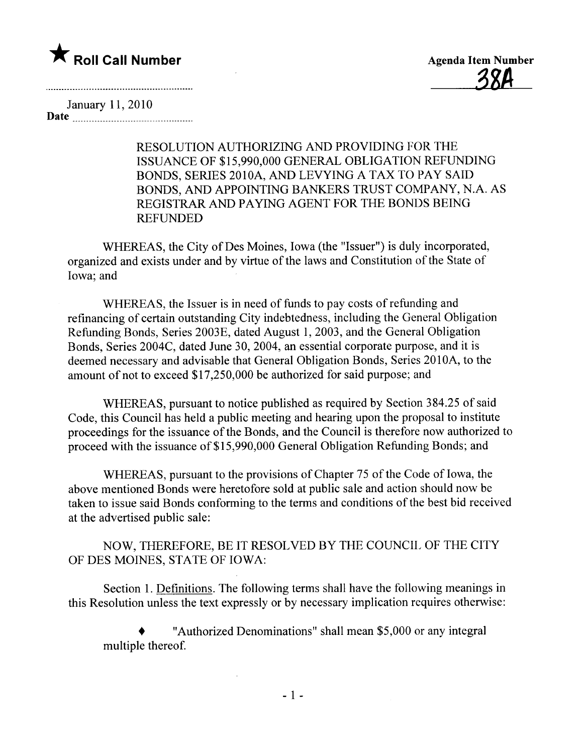

January 11,2010 Date

> RESOLUTION AUTHORIZING AND PROVIDING FOR THE ISSUANCE OF \$15,990,000 GENERAL OBLIGATION REFUNDING BONDS, SERIES 2010A, AND LEVYING A TAX TO PAY SAID BONDS, AND APPOINTING BANKERS TRUST COMPANY, N.A. AS REGISTRAR AND PAYING AGENT FOR THE BONDS BEING REFUNDED

WHEREAS, the City of Des Moines, Iowa (the "Issuer") is duly incorporated, organized and exists under and by virtue of the laws and Constitution of the State of Iowa; and

WHEREAS, the Issuer is in need of funds to pay costs of refunding and refinancing of certain outstanding City indebtedness, including the General Obligation Refunding Bonds, Series 2003E, dated August 1,2003, and the General Obligation Bonds, Series 2004C, dated June 30, 2004, an essential corporate purpose, and it is deemed necessary and advisable that General Obligation Bonds, Series 2010A, to the amount of not to exceed \$17,250,000 be authorized for said purpose; and

WHEREAS, pursuant to notice published as required by Section 384.25 of said Code, this Council has held a public meeting and hearing upon the proposal to institute proceedings for the issuance of the Bonds, and the Council is therefore now authorized to proceed with the issuance of\$15,990,000 General Obligation Refunding Bonds; and

WHEREAS, pursuant to the provisions of Chapter 75 of the Code of Iowa, the above mentioned Bonds were heretofore sold at public sale and action should now be taken to issue said Bonds conforming to the terms and conditions of the best bid received at the advertised public sale:

NOW, THEREFORE, BE IT RESOLVED BY THE COUNCIL OF THE CITY OF DES MOINES, STATE OF IOWA:

Section I. Definitions. The following terms shall have the following meanings in this Resolution unless the text expressly or by necessary implication requires otherwise:

. "Authorized Denominations" shall mean \$5,000 or any integral multiple thereof.

 $\mathcal{L}$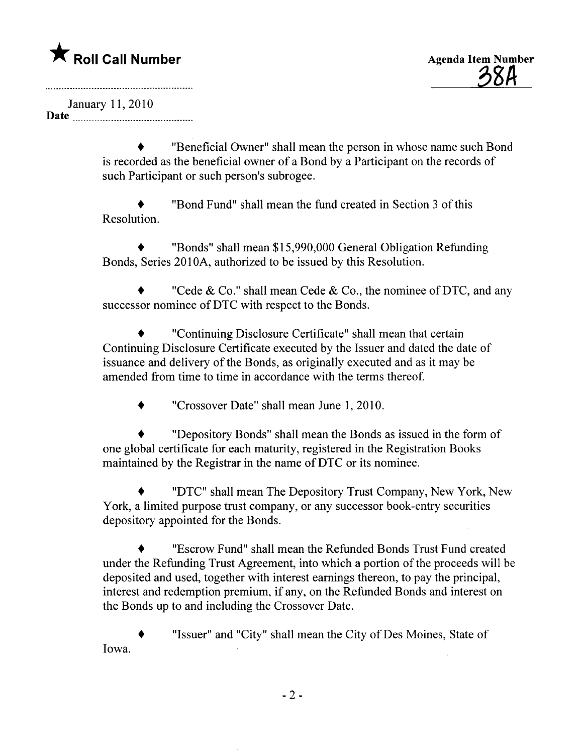January 11, 2010 Date <u>music music music music music</u>

. "Beneficial Owner" shall mean the person in whose name such Bond is recorded as the beneficial owner of a Bond by a Participant on the records of such Participant or such person's subrogee.

. "Bond Fund" shall mean the fund created in Section 3 of this Resolution.

. "Bonds" shall mean \$15,990,000 General Obligation Refunding Bonds, Series 2010A, authorized to be issued by this Resolution.

"Cede & Co." shall mean Cede & Co., the nominee of DTC, and any successor nominee of DTC with respect to the Bonds.

. "Continuing Disclosure Certificate" shall mean that certain Continuing Disclosure Certificate executed by the Issuer and dated the date of issuance and delivery of the Bonds, as originally executed and as it may be amended from time to time in accordance with the terms thereof.

. "Crossover Date" shall mean June 1,2010.

. "Depository Bonds" shall mean the Bonds as issued in the form of one global certificate for each maturity, registered in the Registration Books maintained by the Registrar in the name of DTC or its nominee.

. "DTC" shall mean The Depository Trust Company, New York, New York, a limited purpose trust company, or any successor book-entry securities depository appointed for the Bonds.

. "Escrow Fund" shall mean the Refunded Bonds Trust Fund created under the Refunding Trust Agreement, into which a portion of the proceeds will be deposited and used, together with interest earnings thereon, to pay the principal, interest and redemption premium, if any, on the Refunded Bonds and interest on the Bonds up to and including the Crossover Date.

. "Issuer" and "City" shall mean the City of Des Moines, State of Iowa.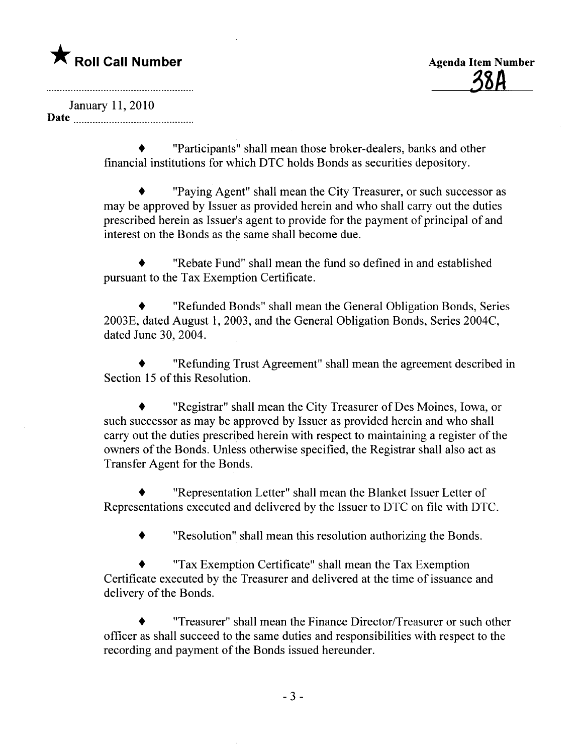January 11,2010 Date

> . "Participants" shall mean those broker-dealers, banks and other financial institutions for which DTC holds Bonds as securities depository.

. "Paying Agent" shall mean the City Treasurer, or such successor as may be approved by Issuer as provided herein and who shall carry out the duties prescribed herein as Issuer's agent to provide for the payment of principal of and interest on the Bonds as the same shall become due.

. "Rebate Fund" shall mean the fund so defined in and established pursuant to the Tax Exemption Certificate.

. "Refunded Bonds" shall mean the General Obligation Bonds, Series 2003E, dated August 1, 2003, and the General Obligation Bonds, Series 2004C, dated June 30, 2004.

. "Refunding Trust Agreement" shall mean the agreement described in Section 15 of this Resolution.

. "Registrar" shall mean the City Treasurer of Des Moines, Iowa, or such successor as may be approved by Issuer as provided herein and who shall carry out the duties prescribed herein with respect to maintaining a register of the owners of the Bonds. Unless otherwise specified, the Registrar shall also act as Transfer Agent for the Bonds.

. "Representation Letter" shall mean the Blanket Issuer Letter of Representations executed and delivered by the Issuer to DTC on fie with DTC.

. "Resolution" shall mean this resolution authorizing the Bonds.

. "Tax Exemption Certificate" shall mean the Tax Exemption Certificate executed by the Treasurer and delivered at the time of issuance and delivery of the Bonds.

. "Treasurer" shall mean the Finance Director/Treasurer or such other officer as shall succeed to the same duties and responsibilties with respect to the recording and payment of the Bonds issued hereunder.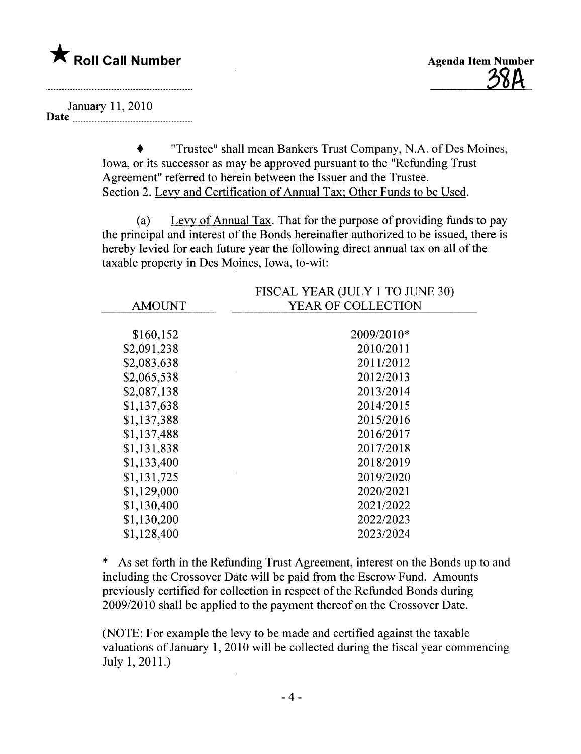

January 11,2010

Date \_ \_ \_\_ \_ \_ \_ \_\_\_ \_ \_ \_ \_ \_\_\_\_\_ \_ \_ \_\_\_\_\_\_\_\_ \_ \_\_\_\_ \_ \_ \_ \_ \_ \_ \_ \_\_\_

. "Trustee" shall mean Bankers Trust Company, N.A. of Des Moines, Iowa, or its successor as may be approved pursuant to the "Refunding Trust Agreement" referred to herein between the Issuer and the Trustee. Section 2. Levy and Certification of Annual Tax; Other Funds to be Used.

(a) Levy of Annual Tax. That for the purpose of providing funds to pay the principal and interest of the Bonds hereinafter authorized to be issued, there is hereby levied for each future year the following direct annual tax on all of the taxable property in Des Moines, Iowa, to-wit:

|               | FISCAL YEAR (JULY 1 TO JUNE 30) |
|---------------|---------------------------------|
| <b>AMOUNT</b> | YEAR OF COLLECTION              |
|               |                                 |
| \$160,152     | 2009/2010*                      |
| \$2,091,238   | 2010/2011                       |
| \$2,083,638   | 2011/2012                       |
| \$2,065,538   | 2012/2013                       |
| \$2,087,138   | 2013/2014                       |
| \$1,137,638   | 2014/2015                       |
| \$1,137,388   | 2015/2016                       |
| \$1,137,488   | 2016/2017                       |
| \$1,131,838   | 2017/2018                       |
| \$1,133,400   | 2018/2019                       |
| \$1,131,725   | 2019/2020                       |
| \$1,129,000   | 2020/2021                       |
| \$1,130,400   | 2021/2022                       |
| \$1,130,200   | 2022/2023                       |
| \$1,128,400   | 2023/2024                       |

\* As set forth in the Refunding Trust Agreement, interest on the Bonds up to and including the Crossover Date will be paid from the Escrow Fund. Amounts previously certified for collection in respect of the Refunded Bonds during 2009/2010 shall be applied to the payment thereof on the Crossover Date.

(NOTE: For example the levy to be made and certified against the taxable valuations of January 1,2010 wil be collected during the fiscal year commencing July 1,2011.)  $\mathcal{L}_{\mathcal{A}}$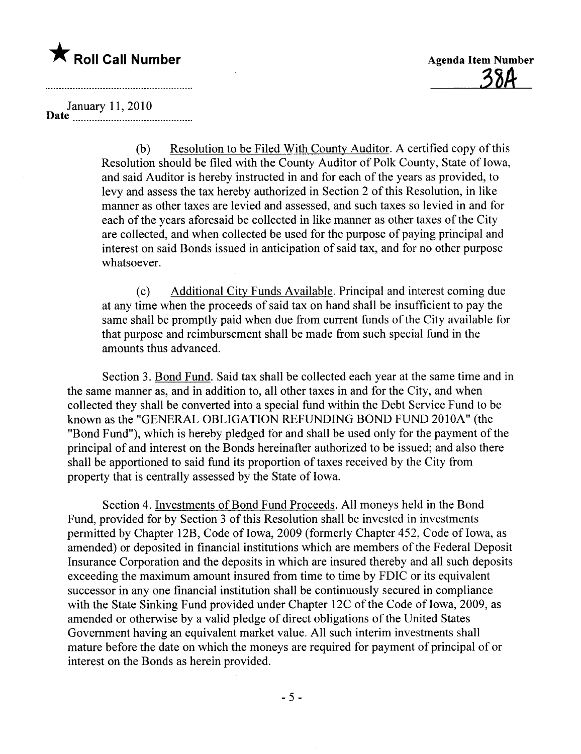

January 11,2010 Date \_ \_\_ \_ \_ \_ \_ \_ \_ \_ \_ \_ \_ \_ \_ \_ \_ \_ \_ \_ \_\_\_\_\_ \_ \_\_\_\_\_\_ \_ \_ \_ \_\_\_ \_ \_\_ n\_

(b) Resolution to be Filed With County Auditor. A certified copy of this Resolution should be filed with the County Auditor of Polk County, State of Iowa, and said Auditor is hereby instructed in and for each of the years as provided, to levy and assess the tax hereby authorized in Section 2 of this Resolution, in like manner as other taxes are levied and assessed, and such taxes so levied in and for each of the years aforesaid be collected in like manner as other taxes of the City are collected, and when collected be used for the purpose of paying principal and interest on said Bonds issued in anticipation of said tax, and for no other purpose whatsoever.

(c) Additional City Funds Available. Principal and interest coming due at any time when the proceeds of said tax on hand shall be insufficient to pay the same shall be promptly paid when due from current funds of the City available for that purpose and reimbursement shall be made from such special fund in the amounts thus advanced.

Section 3. Bond Fund. Said tax shall be collected each year at the same time and in the same manner as, and in addition to, all other taxes in and for the City, and when collected they shall be converted into a special fund within the Debt Service Fund to be known as the "GENERAL OBLIGATION REFUNDING BOND FUND 2010A" (the "Bond Fund"), which is hereby pledged for and shall be used only for the payment of the principal of and interest on the Bonds hereinafter authorized to be issued; and also there shall be apportioned to said fund its proportion of taxes received by the City from property that is centrally assessed by the State of Iowa.

Section 4. Investments of Bond Fund Proceeds. All moneys held in the Bond Fund, provided for by Section 3 of this Resolution shall be invested in investments permitted by Chapter 12B, Code of Iowa, 2009 (formerly Chapter 452, Code of Iowa, as amended) or deposited in financial institutions which are members of the Federal Deposit Insurance Corporation and the deposits in which are insured thereby and all such deposits exceeding the maximum amount insured from time to time by FDIC or its equivalent successor in anyone financial institution shall be continuously secured in compliance with the State Sinking Fund provided under Chapter 12C of the Code of Iowa, 2009, as amended or otherwise by a valid pledge of direct obligations of the United States Government having an equivalent market value. All such interim investments shall mature before the date on which the moneys are required for payment of principal of or interest on the Bonds as herein provided.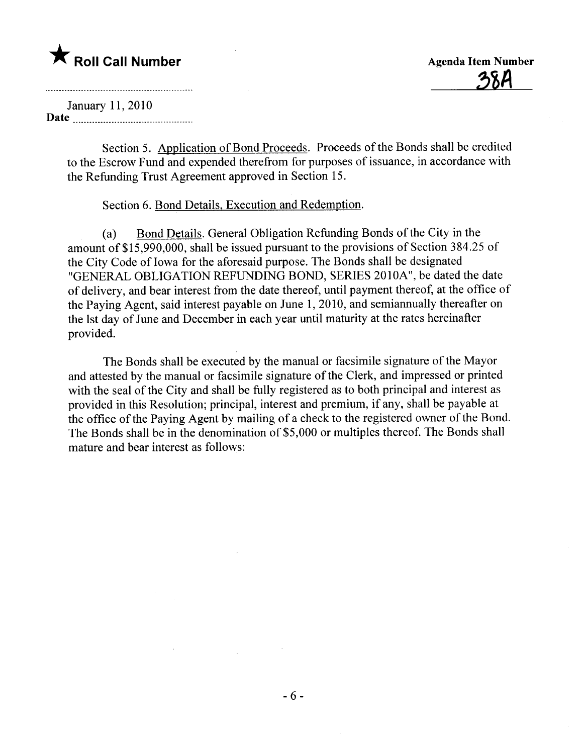<u>38A</u>

January 11,2010 Date

Section 5. Application of Bond Proceeds. Proceeds of the Bonds shall be credited to the Escrow Fund and expended therefrom for purposes of issuance, in accordance with the Refunding Trust Agreement approved in Section 15.

#### Section 6. Bond Details, Execution and Redemption.

amount of  $$15,990,000$ , shall be issued pursuant to the provisions of Section 384.25 of Bond Details. General Obligation Refunding Bonds of the City in the the City Code of Iowa for the aforesaid purpose. The Bonds shall be designated "GENERAL OBLIGATION REFUNDING BOND, SERIES 2010A", be dated the date of delivery, and bear interest from the date thereof, until payment thereof, at the office of the Paying Agent, said interest payable on June 1,2010, and semiannually thereafter on the lst day of June and December in each year until maturity at the rates hereinafter provided.

The Bonds shall be executed by the manual or facsimile signature of the Mayor and attested by the manual or facsimile signature of the Clerk, and impressed or printed with the seal of the City and shall be fully registered as to both principal and interest as provided in this Resolution; principal, interest and premium, if any, shall be payable at the office of the Paying Agent by mailng of a check to the registered owner of the Bond. The Bonds shall be in the denomination of \$5,000 or multiples thereof. The Bonds shall mature and bear interest as follows: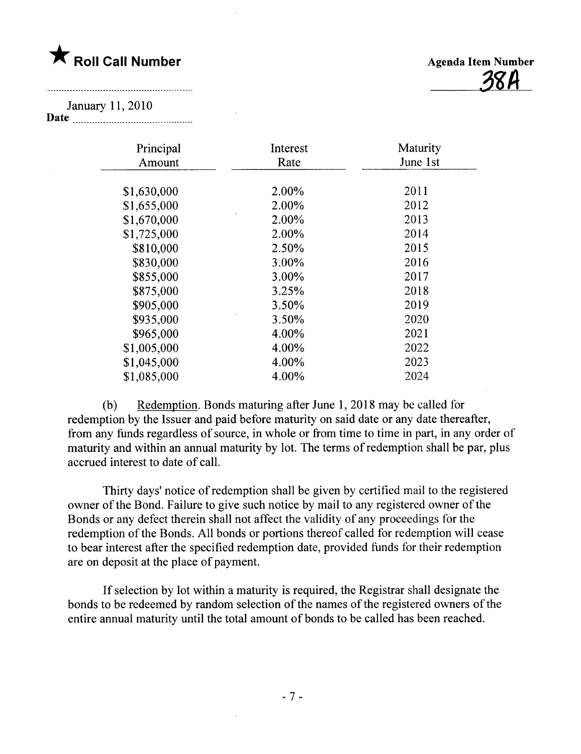<u>јън</u>

January 11,2010

Date  $\frac{1}{2}$ 

| Principal<br>Amount | Interest<br>Rate | Maturity<br>June 1st |
|---------------------|------------------|----------------------|
| \$1,630,000         | 2.00%            | 2011                 |
| \$1,655,000         | 2.00%            | 2012                 |
| \$1,670,000         | 2.00%            | 2013                 |
| \$1,725,000         | 2.00%            | 2014                 |
| \$810,000           | 2.50%            | 2015                 |
| \$830,000           | 3.00%            | 2016                 |
| \$855,000           | 3.00%            | 2017                 |
| \$875,000           | 3.25%            | 2018                 |
| \$905,000           | 3.50%            | 2019                 |
| \$935,000           | 3.50%            | 2020                 |
| \$965,000           | 4.00%            | 2021                 |
| \$1,005,000         | 4.00%            | 2022                 |
| \$1,045,000         | 4.00%            | 2023                 |
| \$1,085,000         | 4.00%            | 2024                 |
|                     |                  |                      |

(b) Redemption. Bonds maturing after June 1, 2018 may be called for redemption by the Issuer and paid before maturity on said date or any date thereafter, from any funds regardless of source, in whole or from time to time in part, in any order of maturity and within an annual maturity by lot. The terms of redemption shall be par, plus accrued interest to date of calL.

Thirty days' notice of redemption shall be given by certified mail to the registered owner of the Bond. Failure to give such notice by mail to any registered owner of the Bonds or any defect therein shall not affect the validity of any proceedings for the redemption of the Bonds. All bonds or portions thereof called for redemption will cease to bear interest after the specified redemption date, provided funds for their redemption are on deposit at the place of payment.

If selection by lot within a maturity is required, the Registrar shall designate the bonds to be redeemed by random selection of the names of the registered owners of the entire annual maturity until the total amount of bonds to be called has been reached.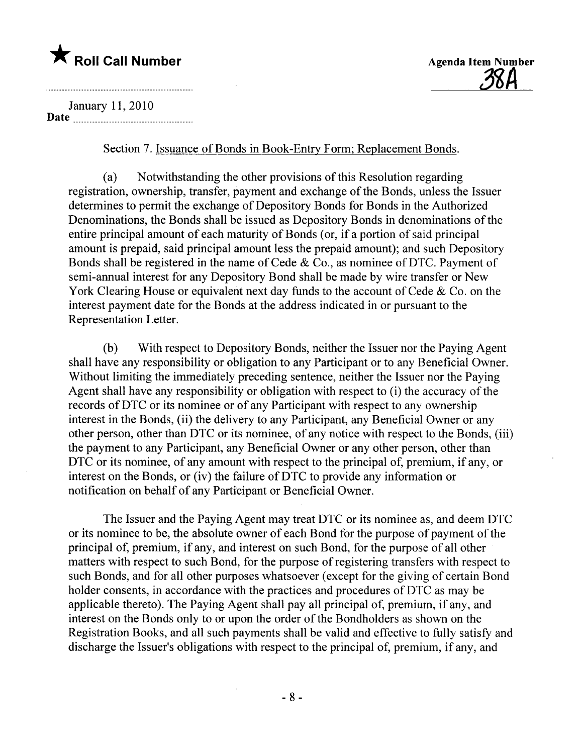<u> 38H</u>

January 11,2010 Date

Section 7. Issuance of Bonds in Book-Entry Form; Replacement Bonds.

(a) Notwithstanding the other provisions of this Resolution regarding registration, ownership, transfer, payment and exchange of the Bonds, unless the Issuer determines to permit the exchange of Depository Bonds for Bonds in the Authorized Denominations, the Bonds shall be issued as Depository Bonds in denominations of the entire principal amount of each maturity of Bonds (or, if a portion of said principal amount is prepaid, said principal amount less the prepaid amount); and such Depository Bonds shall be registered in the name of Cede  $& Co.,$  as nominee of DTC. Payment of semi-annual interest for any Depository Bond shall be made by wire transfer or New York Clearing House or equivalent next day funds to the account of Cede & Co. on the interest payment date for the Bonds at the address indicated in or pursuant to the Representation Letter.

(b) With respect to Depository Bonds, neither the Issuer nor the Paying Agent shall have any responsibilty or obligation to any Participant or to any Beneficial Owner. Without limiting the immediately preceding sentence, neither the Issuer nor the Paying Agent shall have any responsibilty or obligation with respect to (i) the accuracy of the records of DTC or its nominee or of any Participant with respect to any ownership interest in the Bonds, (ii) the delivery to any Participant, any Beneficial Owner or any other person, other than DTC or its nominee, of any notice with respect to the Bonds, (iii) the payment to any Participant, any Beneficial Owner or any other person, other than DTC or its nominee, of any amount with respect to the principal of, premium, if any, or interest on the Bonds, or (iv) the failure of DTC to provide any information or notification on behalf of any Participant or Beneficial Owner.

The Issuer and the Paying Agent may treat DTC or its nominee as, and deem DTC or its nominee to be, the absolute owner of each Bond for the purpose of payment of the principal of, premium, if any, and interest on such Bond, for the purpose of all other matters with respect to such Bond, for the purpose of registering transfers with respect to such Bonds, and for all other purposes whatsoever (except for the giving of certain Bond holder consents, in accordance with the practices and procedures of DTC as may be applicable thereto). The Paying Agent shall pay all principal of, premium, if any, and interest on the Bonds only to or upon the order of the Bondholders as shown on the Registration Books, and all such payments shall be valid and effective to fully satisfy and discharge the Issuer's obligations with respect to the principal of, premium, if any, and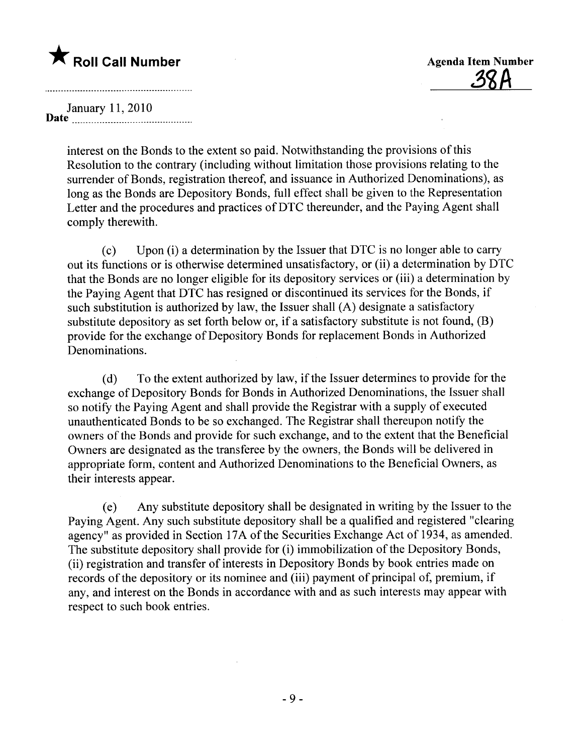January 11,2010 Date  $\frac{1}{2}$  ...  $\frac{1}{2}$  ...

> interest on the Bonds to the extent so paid. Notwithstanding the provisions of this Resolution to the contrary (includìng without limitation those provisions relating to the surrender of Bonds, registration thereof, and issuance in Authorized Denominations), as long as the Bonds are Depository Bonds, full effect shall be given to the Representation Letter and the procedures and practices of DTC thereunder, and the Paying Agent shall comply therewith.

(c) Upon (i) a determination by the Issuer that DTC is no longer able to carr out its functions or is otherwise dètermined unsatisfactory, or (ii) a determination by DTC that the Bonds are no longer eligible for its depository services or (iii) a determination by the Paying Agent that DTC has resigned or discontinued its services for the Bonds, if such substitution is authorized by law, the Issuer shall (A) designate a satisfactory substitute depository as set forth below or, if a satisfactory substitute is not found, (B) provide for the exchange of Depository Bonds for replacement Bonds in Authorized Denominations.

(d) To the extent authorized by law, if the Issuer determines to provide for the exchange of Depository Bonds for Bonds in Authorized Denominations, the Issuer shall so notify the Paying Agent and shall provide the Registrar with a supply of executed unauthenticated Bonds to be so exchanged. The Registrar shall thereupon notify the owners of the Bonds and provide for such exchange, and to the extent that the Beneficial Owners are designated as the transferee by the owners, the Bonds will be delivered in appropriate form, content and Authorized Denominations to the Beneficial Owners, as their interests appear.

( e) Any substitute depository shall be designated in writing by the Issuer to the Paying Agent. Any such substitute depository shall be a qualified and registered "clearing agency" as provided in Section 17A of the Securities Exchange Act of 1934, as amended. The substitute depository shall provide for (i) immobilzation of the Depository Bonds, (ii) registration and transfer of interests in Depository Bonds by book entries made on records of the depository or its nominee and (iii) payment of principal of, premium, if any, and interest on the Bonds in accordance with and as such interests may appear with respect to such book entries.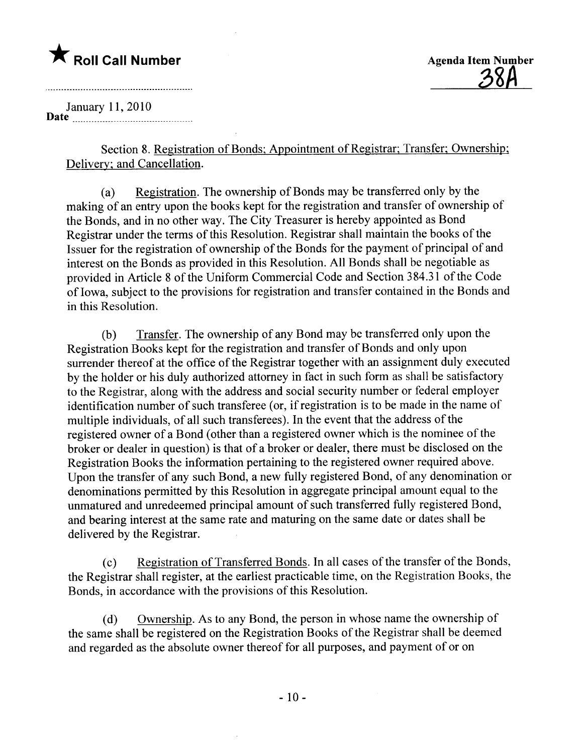January 11, 2010 Date \_ \_u\_ \_ \_ \_ \_uun \_ \_ \_ \_ \_ \_00\_ \_ \_ \_ \_ 00\_ \_ \_ \_ \_ \_ \_ \_ \_ \_ \_ \_ \_.

> Section 8. Registration of Bonds; Appointment of Registrar; Transfer; Ownership; Delivery; and Cancellation.

> (a) Registration. The ownership of Bonds may be transferred only by the making of an entry upon the books kept for the registration and transfer of ownership of the Bonds, and in no other way. The City Treasurer is hereby appointed as Bond Registrar under the terms of this Resolution. Registrar shall maintain the books of the Issuer for the registration of ownership of the Bonds for the payment of principal of and interest on the Bonds as provided in this Resolution. All Bonds shall be negotiable as provided in Article 8 of the Uniform Commercial Code and Section 384.31 of the Code of Iowa, subject to the provisions for registration and transfer contained in the Bonds and in this Resolution.

> (b) Transfer. The ownership of any Bond may be transferred only upon the Registration Books kept for the registration and transfer of Bonds and only upon surrender thereof at the office of the Registrar together with an assignment duly executed by the holder or his duly authorized attorney in fact in such form as shall be satisfactory to the Registrar, along with the address and social security number or federal employer identification number of such transferee (or, if registration is to be made in the name of multiple individuals, of all such transferees). In the event that the address of the registered owner of a Bond (other than a registered owner which is the nominee of the broker or dealer in question) is that of a broker or dealer, there must be disclosed on the Registration Books the information pertaining to the registered owner required above. Upon the transfer of any such Bond, a new fully registered Bond, of any denomination or denominations permitted by this Resolution in aggregate principal amount equal to the unmatured and unredeemed principal amount of such transferred fully registered Bond, and bearing interest at the same rate and maturing on the same date or dates shall be delivered by the Registrar.

> (c) Registration of Transferred Bonds. In all cases of the transfer of the Bonds, the Registrar shall register, at the earliest practicable time, on the Registration Books, the Bonds, in accordance with the provisions of this Resolution.

(d) Ownership. As to any Bond, the person in whose name the ownership of the same shall be registered on the Registration Books of the Registrar shall be deemed and regarded as the absolute owner thereof for all purposes, and payment of or on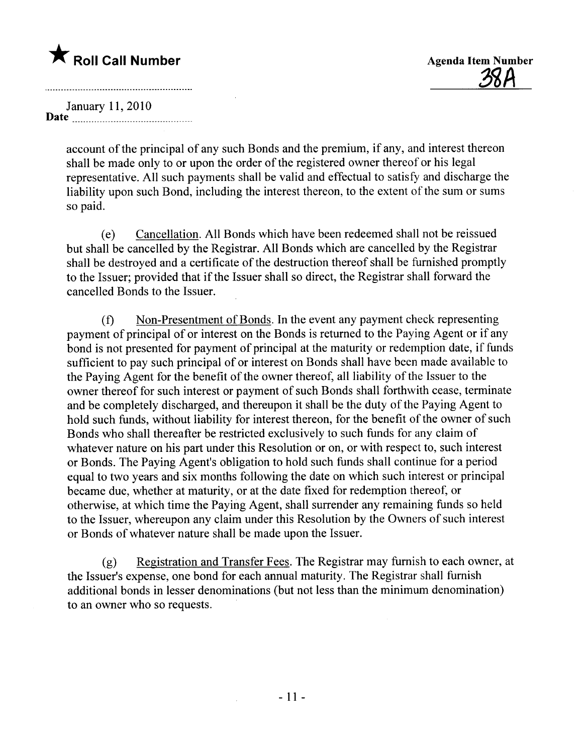<u> 28Н</u>

January 11,2010 Date \_ \_ \_ \_ \_ u \_ \_ \_ \_ \_ \_ \_ \_ \_ \_ \_ \_ \_ \_ \_ \_ \_ u u\_ \_ \_ \_ u\_ \_ \_ \_ \_ \_ \_ \_\_.

> account of the principal of any such Bonds and the premium, if any, and interest thereon shall be made only to or upon the order of the registered owner thereof or his legal representative. All such payments shall be valid and effectual to satisfy and discharge the liability upon such Bond, including the interest thereon, to the extent of the sum or sums so paid.

> (e) Cancellation. All Bonds which have been redeemed shall not be reissued but shall be cancelled by the Registrar. All Bonds which are cancelled by the Registrar shall be destroyed and a certificate of the destruction thereof shall be furnished promptly to the Issuer; provided that if the Issuer shall so direct, the Registrar shall forward the cancelled Bonds to the Issuer.

(f) Non-Presentment of Bonds. In the event any payment check representing payment of principal of or interest on the Bonds is returned to the Paying Agent or if any bond is not presented for payment of principal at the maturity or redemption date, if funds sufficient to pay such principal of or interest on Bonds shall have been made available to the Paying Agent for the benefit of the owner thereof, all liabilty of the Issuer to the owner thereof for such interest or payment of such Bonds shall forthwith cease, terminate and be completely discharged, and thereupon it shall be the duty of the Paying Agent to hold such funds, without liabilty for interest thereon, for the benefit of the owner of such Bonds who shall thereafter be restricted exclusively to such funds for any claim of whatever nature on his part under this Resolution or on, or with respect to, such interest or Bonds. The Paying Agent's obligation to hold such funds shall continue for a period equal to two years and six months following the date on which such interest or principal became due, whether at maturity, or at the date fixed for redemption thereof, or otherwise, at which time the Paying Agent, shall surrender any remaining funds so held to the Issuer, whereupon any claim under this Resolution by the Owners of such interest or Bonds of whatever nature shall be made upon the Issuer.

(g) Registration and Transfer Fees. The Registrar may furnish to each owner, at the Issuer's expense, one bond for each annual maturity. The Registrar shall furnish additional bonds in lesser denominations (but not less than the minimum denomination) to an owner who so requests.

 $\mathcal{L}^{\mathcal{L}}$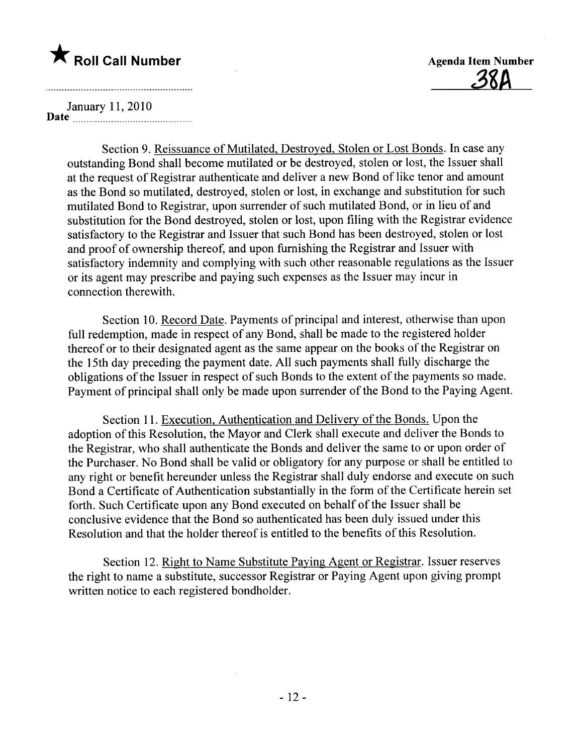

January 11,2010 Date \_ \_ \_ u \_ \_ \_ \_ \_ \_ \_ \_ \_ \_ \_ \_ uu \_ \_ \_ \_ \_ \_ \_ \_ \_ \_ \_ \_ u\_ \_ \_ \_ \_ \_\_ \_.

> Section 9. Reissuance of Mutilated, Destroyed, Stolen or Lost Bonds. In case any outstanding Bond shall become mutilated or be destroyed, stolen or lost, the Issuer shall at the request of Registrar authenticate and deliver a new Bond of like tenor and amount as the Bond so mutilated, destroyed, stolen or lost, in exchange and substitution for such mutilated Bond to Registrar, upon surrender of such mutilated Bond, or in lieu of and substitution for the Bond destroyed, stolen or lost, upon filing with the Registrar evidence satisfactory to the Registrar and Issuer that such Bond has been destroyed, stolen or lost and proof of ownership thereof, and upon furnishing the Registrar and Issuer with satisfactory indemnity and complying with such other reasonable regulations as the Issuer or its agent may prescribe and paying such expenses as the Issuer may incur in connection therewith.

> Section 10. Record Date. Payments of principal and interest, otherwise than upon full redemption, made in respect of any Bond, shall be made to the registered holder thereof or to their designated agent as the same appear on the books of the Registrar on the 15th day preceding the payment date. All such payments shall fully discharge the obligations of the Issuer in respect of such Bonds to the extent of the payments so made. Payment of principal shall only be made upon surrender of the Bond to the Paying Agent.

> Section 11. Execution, Authentication and Delivery of the Bonds. Upon the adoption of this Resolution, the Mayor and Clerk shall execute and deliver the Bonds to the Registrar, who shall authenticate the Bonds and deliver the same to or upon order of the Purchaser. No Bond shall be valid or obligatory for any purpose or shall be entitled to any right or benefit hereunder unless the Registrar shall duly endorse and execute on such Bond a Certificate of Authentication substantially in the form of the Certificate herein set forth. Such Certificate upon any Bond executed on behalf of the Issuer shall be conclusive evidence that the Bond so authenticated has been duly issued under this Resolution and that the holder thereof is entitled to the benefits of this Resolution.

Section 12. Right to Name Substitute Paying Agent or Registrar. Issuer reserves the right to name a substitute, successor Registrar or Paying Agent upon giving prompt written notice to each registered bondholder.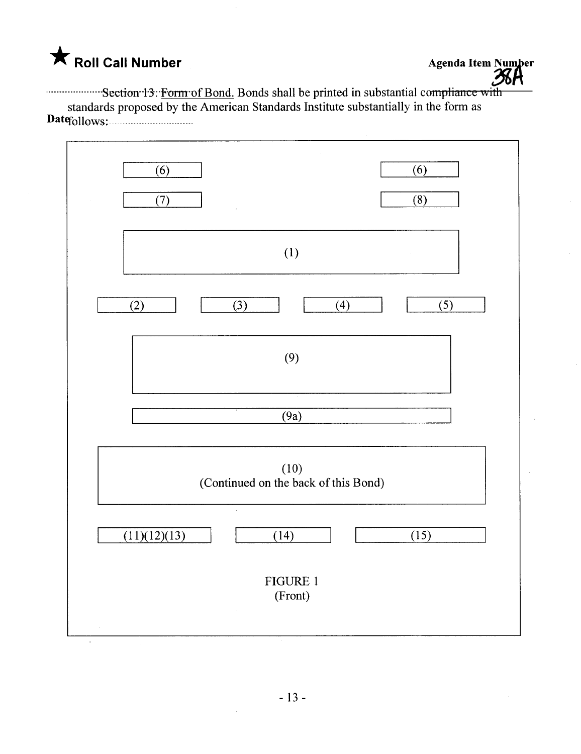.m,mmm....mSectIon..l,3":'F-omrof Bond. Bonds shall be printed in substantial coiipliauL,\; w itl. standards proposed by the American Standards Institute substantially in the form as  $Datef_0\|_{\text{OWS}}$ 

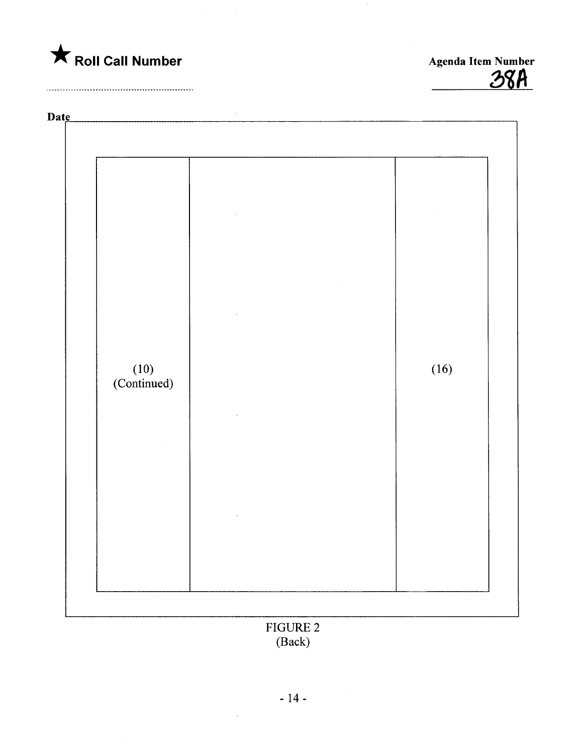

Agenda Item Number



FIGURE 2 (Back)

 $\mathcal{A}$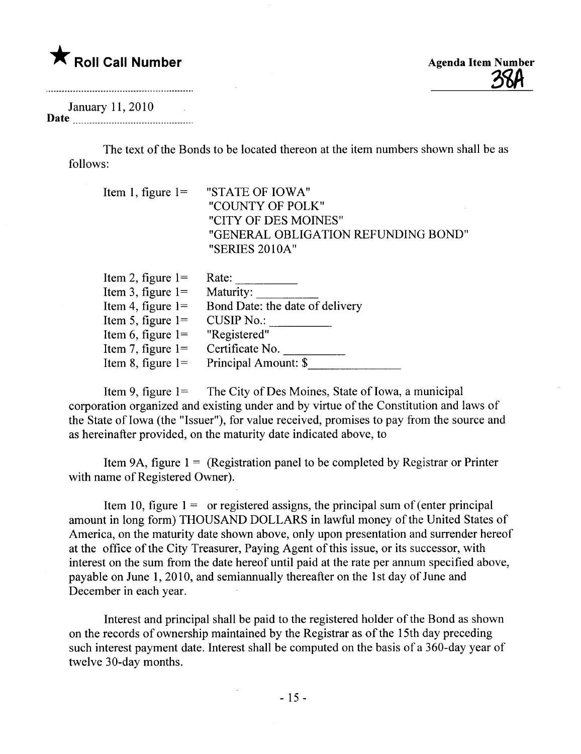### $\bigstar$  Roll Call Number

#### January 11,2010 Date <u>manual communication</u>

The text of the Bonds to be located thereon at the item numbers shown shall be as follows:

| Item 1, figure $l =$ "STATE OF IOWA" |
|--------------------------------------|
| "COUNTY OF POLK"                     |
| "CITY OF DES MOINES"                 |
| "GENERAL OBLIGATION REFUNDING BOND"  |
| "SERIES 2010A"                       |
|                                      |

| Item 2, figure $1=$  | Rate:                           |
|----------------------|---------------------------------|
| Item 3, figure $1=$  | Maturity:                       |
| Item 4, figure $1=$  | Bond Date: the date of delivery |
| Item 5, figure $l =$ | <b>CUSIP No.:</b>               |
| Item 6, figure $1=$  | "Registered"                    |
| Item 7, figure $l =$ | Certificate No.                 |
| Item 8, figure $1=$  | Principal Amount: \$            |
|                      |                                 |

Item 9, figure  $1 =$  The City of Des Moines, State of Iowa, a municipal corporation organized and existing under and by virtue of the Constitution and laws of the State of Iowa (the "Issuer"), for value received, promises to pay from the source and as hereinafter provided, on the maturity date indicated above, to

Item 9A, figure  $1 =$  (Registration panel to be completed by Registrar or Printer with name of Registered Owner).

Item 10, figure  $1 =$  or registered assigns, the principal sum of (enter principal amount in long form) THOUSAND DOLLARS in lawful money of the United States of America, on the maturity date shown above, only upon presentation and surrender hereof at the office of the City Treasurer, Paying Agent of this issue, or its successor, with interest on the sum from the date hereof until paid at the rate per annum specified above, payable on June 1, 2010, and semiannually thereafter on the 1 st day of June and December in each year.

Interest and principal shall be paid to the registered holder of the Bond as shown on the records of ownership maintained by the Registrar as of the 15th day preceding such interest payment date. Interest shall be computed on the basis of a 360-day year of twelve 30-day months.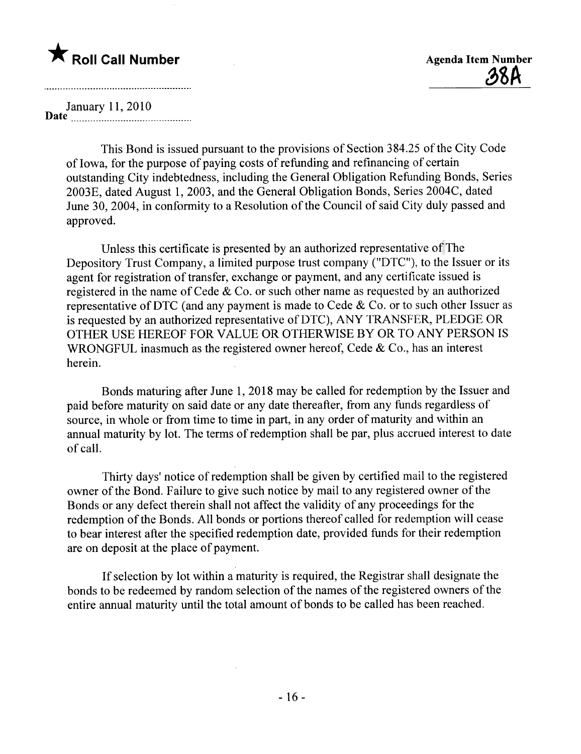<u>38A</u>

January 11,2010 Date 00 \_ \_ \_\_ \_ \_ \_ \_uu \_ \_ \_ \_ \_ \_ \_ \_ \_ \_ \_ \_ \_ \_ \_ \_\_\_ \_ \_ \_ \_ \_ \_ \_ 00 \_ \_\_

This Bond is issued pursuant to the provisions of Section 384.25 of the City Code of Iowa, for the purpose of paying costs of refunding and refinancing of certain outstanding City indebtedness, including the General Obligation Refunding Bonds, Series 2003E, dated August 1, 2003, and the General Obligation Bonds, Series 2004C, dated June 30, 2004, in conformity to a Resolution of the Council of said City duly passed and approved.

Unless this certificate is presented by an authorized representative of The Depository Trust Company, a limited purpose trust company ("DTC"), to the Issuer or its agent for registration of transfer, exchange or payment, and any certificate issued is registered in the name of Cede & Co. or such other name as requested by an authorized representative of DTC (and any payment is made to Cede  $& Co.$  or to such other Issuer as is requested by an authorized representative of DTC), ANY TRANSFER, PLEDGE OR OTHER USE HEREOF FOR VALUE OR OTHERWISE BY OR TO ANY PERSON IS WRONGFUL inasmuch as the registered owner hereof, Cede & Co., has an interest herein.

Bonds maturing after June 1, 2018 may be called for redemption by the Issuer and paid before maturity on said date or any date thereafter, from any funds regardless of source, in whole or from time to time in part, in any order of maturity and within an annual maturity by lot. The terms of redemption shall be par, plus accrued interest to date of calL.

Thirty days' notice of redemption shall be given by certified mail to the registered owner of the Bond. Failure to give such notice by mail to any registered owner of the Bonds or any defect therein shall not affect the validity of any proceedings for the redemption of the Bonds. All bonds or portions thereof called for redemption will cease to bear interest after the specified redemption date, provided funds for their redemption are on deposit at the place of payment.

If selection by lot within a maturity is required, the Registrar shall designate the bonds to be redeemed by random selection of the names of the registered owners of the entire annual maturity until the total amount of bonds to be called has been reached.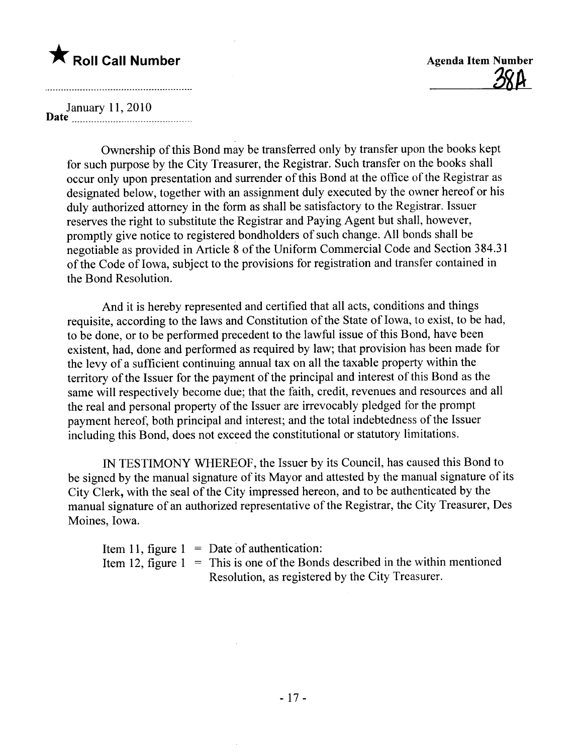<u>ጋእዞ</u>

January 11,2010  $Date$   $\frac{1}{2}$   $\frac{1}{2}$   $\frac{1}{2}$   $\frac{1}{2}$   $\frac{1}{2}$   $\frac{1}{2}$   $\frac{1}{2}$   $\frac{1}{2}$   $\frac{1}{2}$   $\frac{1}{2}$   $\frac{1}{2}$   $\frac{1}{2}$   $\frac{1}{2}$   $\frac{1}{2}$   $\frac{1}{2}$   $\frac{1}{2}$   $\frac{1}{2}$   $\frac{1}{2}$   $\frac{1}{2}$   $\frac{1}{2}$   $\frac{1}{2}$   $\frac{1}{2$ 

Ownership of this Bond may be transferred only by transfer upon the books kept for such purpose by the City Treasurer, the Registrar. Such transfer on the books shall occur only upon presentation and surrender of this Bond at the office of the Registrar as designated below, together with an assignment duly executed by the owner hereof or his duly authorized attorney in the form as shall be satisfactory to the Registrar. Issuer reserves the right to substitute the Registrar and Paying Agent but shall, however, promptly give notice to registered bondholders of such change. All bonds shall be negotiable as provided in Article 8 of the Uniform Commercial Code and Section 384.31 of the Code of Iowa, subject to the provisions for registration and transfer contained in the Bond Resolution.

And it is hereby represented and certified that all acts, conditions and things requisite, according to the laws and Constitution of the State of Iowa, to exist, to be had, to be done, or to be performed precedent to the lawful issue of this Bond, have been existent, had, done and performed as required by law; that provision has been made for the levy of a sufficient continuing annual tax on all the taxable property within the territory of the Issuer for the payment of the principal and interest of this Bond as the same will respectively become due; that the faith, credit, revenues and resources and all the real and personal property of the Issuer are irrevocably pledged for the prompt payment hereof, both principal and interest; and the total indebtedness of the Issuer including this Bond, does not exceed the constitutional or statutory limitations.

IN TESTIMONY WHEREOF, the Issuer by its Council, has caused this Bond to be signed by the manual signature of its Mayor and attested by the manual signature of its City Clerk, with the seal of the City impressed hereon, and to be authenticated by the manual signature of an authorized representative of the Registrar, the City Treasurer, Des Moines, Iowa.

Item 11, figure 1 Date of authentication: Item 12, figure  $1 =$  This is one of the Bonds described in the within mentioned Resolution, as registered by the City Treasurer.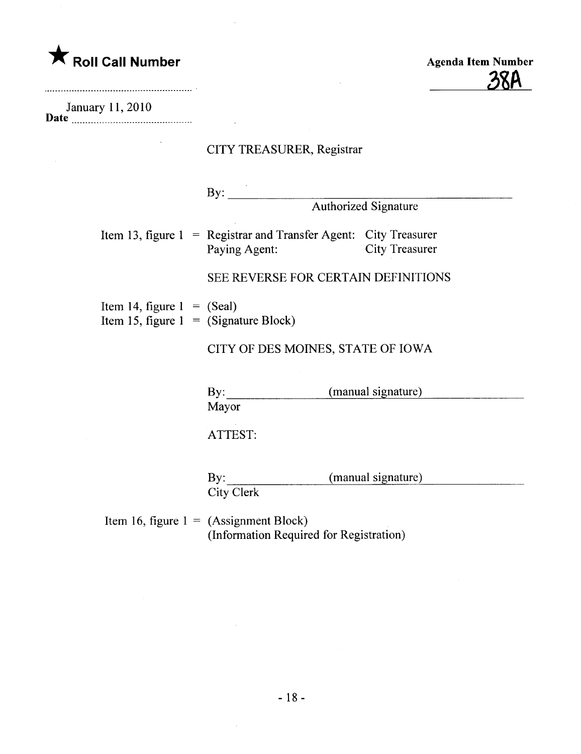**\*** Roll Call Number

Agenda Item Number 3ßA

January 11,2010

|                                                                         | CITY TREASURER, Registrar                                                                                          |
|-------------------------------------------------------------------------|--------------------------------------------------------------------------------------------------------------------|
|                                                                         | By: $\qquad \qquad$<br><b>Authorized Signature</b>                                                                 |
|                                                                         | Item 13, figure $1 = \text{Register}$ and Transfer Agent: City Treasurer<br><b>City Treasurer</b><br>Paying Agent: |
|                                                                         | SEE REVERSE FOR CERTAIN DEFINITIONS                                                                                |
| Item 14, figure $1 = (Scal)$<br>Item 15, figure $1 =$ (Signature Block) |                                                                                                                    |
|                                                                         | CITY OF DES MOINES, STATE OF IOWA                                                                                  |
|                                                                         | (manual signature)<br>By: $\qquad \qquad$<br>Mayor                                                                 |
|                                                                         | ATTEST:                                                                                                            |
|                                                                         | (manual signature)<br>$\mathbf{By:}$<br><b>City Clerk</b>                                                          |
|                                                                         | Item 16, figure $1 = (Assignment Block)$                                                                           |

 $\bar{\mathcal{A}}$ 

Item 16, figure  $1 = (Assignment Block)$ (Information Required for Registration)

 $\sim$ 

 $\sim$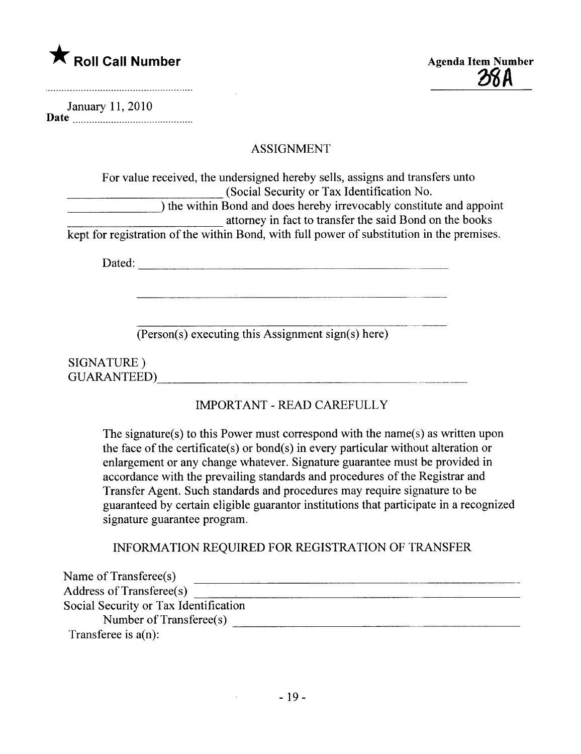

28 A

|      | January 11, 2010 |  |
|------|------------------|--|
| Date |                  |  |

#### ASSIGNMENT

| For value received, the undersigned hereby sells, assigns and transfers unto               |  |
|--------------------------------------------------------------------------------------------|--|
| (Social Security or Tax Identification No.)                                                |  |
| ) the within Bond and does hereby irrevocably constitute and appoint                       |  |
| attorney in fact to transfer the said Bond on the books                                    |  |
| kept for registration of the within Bond, with full power of substitution in the premises. |  |

Dated:

(Person(s) executing this Assignment sign(s) here)

SIGNATURE ) GUARANTEED)

### IMPORTANT - READ CAREFULLY

The signature(s) to this Power must correspond with the name(s) as written upon the face of the certificate(s) or bond(s) in every particular without alteration or enlargement or any change whatever. Signature guarantee must be provided in accordance with the prevailng standards and procedures of the Registrar and Transfer Agent. Such standards and procedures may require signature to be guaranteed by certain eligible guarantor institutions that participate in a recognized signature guarantee program.

#### INFORMATION REQUIRED FOR REGISTRATION OF TRANSFER

| Name of Transferee(s)                 |  |
|---------------------------------------|--|
| Address of Transferee(s)              |  |
| Social Security or Tax Identification |  |
| Number of Transferee(s)               |  |
| Transferee is $a(n)$ :                |  |

 $\mathcal{L}(\mathcal{L})$  and  $\mathcal{L}(\mathcal{L})$